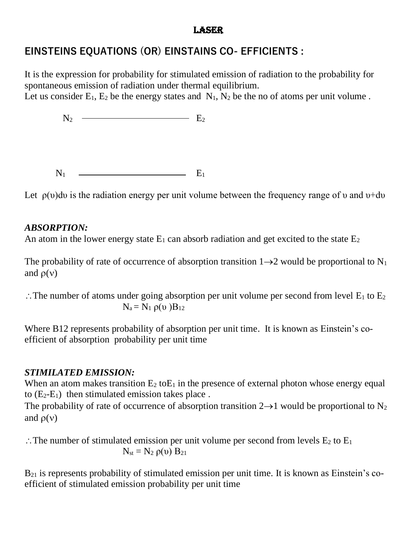#### **LASER**

# **EINSTEINS EQUATIONS (OR) EINSTAINS CO- EFFICIENTS :**

It is the expression for probability for stimulated emission of radiation to the probability for spontaneous emission of radiation under thermal equilibrium.

Let us consider  $E_1$ ,  $E_2$  be the energy states and  $N_1$ ,  $N_2$  be the no of atoms per unit volume.

 $N_2$   $\longrightarrow$   $E_2$ 

 $N_1$   $\qquad \qquad$   $E_1$ 

Let  $\rho(\nu)$ du is the radiation energy per unit volume between the frequency range of  $\nu$  and  $\nu$ +d $\nu$ 

#### *ABSORPTION:*

An atom in the lower energy state  $E_1$  can absorb radiation and get excited to the state  $E_2$ 

The probability of rate of occurrence of absorption transition  $1\rightarrow 2$  would be proportional to N<sub>1</sub> and  $\rho(v)$ 

 $\therefore$  The number of atoms under going absorption per unit volume per second from level  $E_1$  to  $E_2$  $N_a = N_1 \rho(v) B_{12}$ 

Where B12 represents probability of absorption per unit time. It is known as Einstein's coefficient of absorption probability per unit time

## *STIMILATED EMISSION:*

When an atom makes transition  $E_2$  to $E_1$  in the presence of external photon whose energy equal to  $(E_2-E_1)$  then stimulated emission takes place.

The probability of rate of occurrence of absorption transition  $2\rightarrow 1$  would be proportional to N<sub>2</sub> and  $\rho(v)$ 

 $\therefore$  The number of stimulated emission per unit volume per second from levels  $E_2$  to  $E_1$  $N_{st} = N_2 \rho(v) B_{21}$ 

 $B_{21}$  is represents probability of stimulated emission per unit time. It is known as Einstein's coefficient of stimulated emission probability per unit time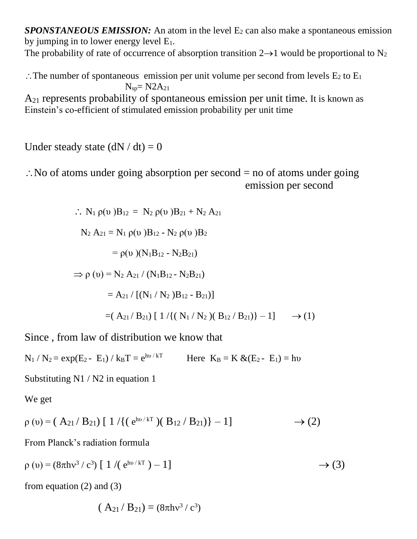*SPONSTANEOUS EMISSION:* An atom in the level E<sub>2</sub> can also make a spontaneous emission by jumping in to lower energy level  $E_1$ .

The probability of rate of occurrence of absorption transition  $2\rightarrow 1$  would be proportional to N<sub>2</sub>

 $\therefore$  The number of spontaneous emission per unit volume per second from levels  $E_2$  to  $E_1$  $N_{\rm sn} = N2A_{21}$ 

A<sup>21</sup> represents probability of spontaneous emission per unit time. It is known as Einstein's co-efficient of stimulated emission probability per unit time

Under steady state  $(dN / dt) = 0$ 

 $\therefore$  No of atoms under going absorption per second = no of atoms under going emission per second

$$
\therefore N_1 \rho(v)B_{12} = N_2 \rho(v)B_{21} + N_2 A_{21}
$$
  
\n
$$
N_2 A_{21} = N_1 \rho(v)B_{12} - N_2 \rho(v)B_2
$$
  
\n
$$
= \rho(v) (N_1B_{12} - N_2B_{21})
$$
  
\n
$$
\Rightarrow \rho(v) = N_2 A_{21} / (N_1B_{12} - N_2B_{21})
$$
  
\n
$$
= A_{21} / [(N_1 / N_2)B_{12} - B_{21})]
$$
  
\n
$$
= (A_{21} / B_{21}) [1 / \{(N_1 / N_2) (B_{12} / B_{21})\} - 1] \rightarrow (1)
$$

Since , from law of distribution we know that

 $N_1 / N_2 = exp(E_2 - E_1) / k_B T = e^{h\nu / kT}$ Here  $K_B = K \& (E_2 - E_1) = hv$ 

Substituting N1 / N2 in equation 1

We get

$$
\rho(v) = (A_{21}/B_{21}) [1 / \{ (e^{hv/kT})(B_{12}/B_{21}) \} - 1] \rightarrow (2)
$$

From Planck's radiation formula

$$
\rho(v) = (8\pi h v^3 / c^3) [1 / (e^{h v / kT}) - 1]
$$
  $\rightarrow$  (3)

from equation  $(2)$  and  $(3)$ 

$$
(A_{21}/B_{21}) = (8\pi h v^3 / c^3)
$$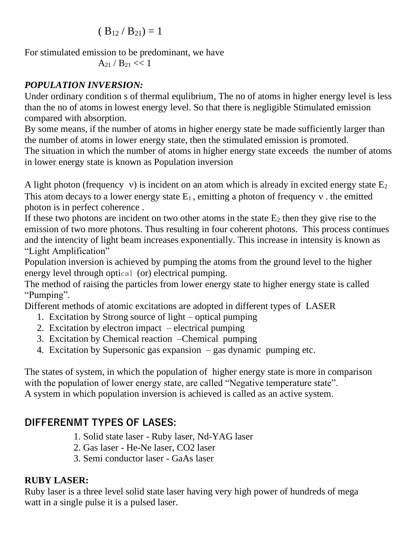$$
( B_{12} / B_{21} ) = 1
$$

For stimulated emission to be predominant, we have

 $A_{21}$  /  $B_{21}$  << 1

## *POPULATION INVERSION:*

Under ordinary condition s of thermal equlibrium, The no of atoms in higher energy level is less than the no of atoms in lowest energy level. So that there is negligible Stimulated emission compared with absorption.

By some means, if the number of atoms in higher energy state be made sufficiently larger than the number of atoms in lower energy state, then the stimulated emission is promoted. The situation in which the number of atoms in higher energy state exceeds the number of atoms in lower energy state is known as Population inversion

A light photon (frequency  $v$ ) is incident on an atom which is already in excited energy state  $E_2$ This atom decays to a lower energy state  $E_1$ , emitting a photon of frequency v. the emitted photon is in perfect coherence .

If these two photons are incident on two other atoms in the state  $E_2$  then they give rise to the emission of two more photons. Thus resulting in four coherent photons. This process continues and the intencity of light beam increases exponentially. This increase in intensity is known as "Light Amplification"

Population inversion is achieved by pumping the atoms from the ground level to the higher energy level through optical (or) electrical pumping.

The method of raising the particles from lower energy state to higher energy state is called "Pumping".

Different methods of atomic excitations are adopted in different types of LASER

- 1. Excitation by Strong source of light optical pumping
- 2. Excitation by electron impact electrical pumping
- 3. Excitation by Chemical reaction –Chemical pumping
- 4. Excitation by Supersonic gas expansion gas dynamic pumping etc.

The states of system, in which the population of higher energy state is more in comparison with the population of lower energy state, are called "Negative temperature state". A system in which population inversion is achieved is called as an active system.

# **DIFFERENMT TYPES OF LASES:**

- 1. Solid state laser Ruby laser, Nd-YAG laser
- 2. Gas laser He-Ne laser, CO2 laser
- 3. Semi conductor laser GaAs laser

## **RUBY LASER:**

Ruby laser is a three level solid state laser having very high power of hundreds of mega watt in a single pulse it is a pulsed laser.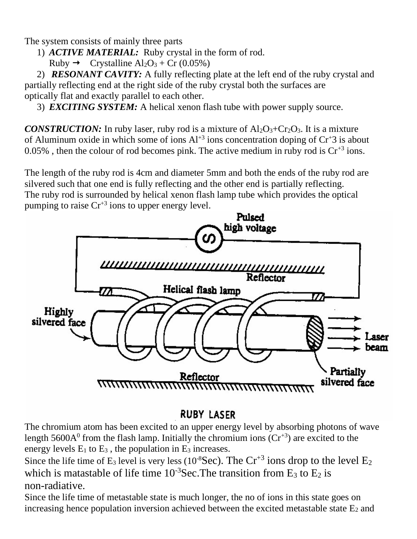The system consists of mainly three parts

- 1) *ACTIVE MATERIAL:* Ruby crystal in the form of rod.
	- Ruby  $\rightarrow$  Crystalline Al<sub>2</sub>O<sub>3</sub> + Cr (0.05%)

2) *RESONANT CAVITY:* A fully reflecting plate at the left end of the ruby crystal and partially reflecting end at the right side of the ruby crystal both the surfaces are optically flat and exactly parallel to each other.

3) *EXCITING SYSTEM:* A helical xenon flash tube with power supply source.

*CONSTRUCTION:* In ruby laser, ruby rod is a mixture of  $A1_2O_3+Cr_2O_3$ . It is a mixture of Aluminum oxide in which some of ions  $Al^{+3}$  ions concentration doping of  $Cr^{+3}$  is about 0.05%, then the colour of rod becomes pink. The active medium in ruby rod is  $Cr^{3}$  ions.

The length of the ruby rod is 4cm and diameter 5mm and both the ends of the ruby rod are silvered such that one end is fully reflecting and the other end is partially reflecting. The ruby rod is surrounded by helical xenon flash lamp tube which provides the optical pumping to raise  $Cr^{3}$  ions to upper energy level.



# **RUBY LASER**

The chromium atom has been excited to an upper energy level by absorbing photons of wave length  $5600A<sup>0</sup>$  from the flash lamp. Initially the chromium ions ( $Cr<sup>+3</sup>$ ) are excited to the energy levels  $E_1$  to  $E_3$ , the population in  $E_3$  increases.

Since the life time of  $E_3$  level is very less (10<sup>-8</sup>Sec). The  $Cr^{+3}$  ions drop to the level  $E_2$ which is matastable of life time  $10^{-3}$ Sec. The transition from E<sub>3</sub> to E<sub>2</sub> is non-radiative.

Since the life time of metastable state is much longer, the no of ions in this state goes on increasing hence population inversion achieved between the excited metastable state  $E_2$  and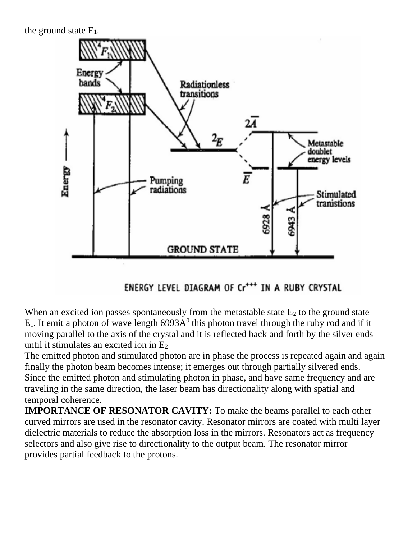the ground state  $E_1$ .



ENERGY LEVEL DIAGRAM OF Cr<sup>+++</sup> IN A RUBY CRYSTAL

When an excited ion passes spontaneously from the metastable state  $E_2$  to the ground state  $E_1$ . It emit a photon of wave length 6993A<sup>0</sup> this photon travel through the ruby rod and if it moving parallel to the axis of the crystal and it is reflected back and forth by the silver ends until it stimulates an excited ion in  $E<sub>2</sub>$ 

The emitted photon and stimulated photon are in phase the process is repeated again and again finally the photon beam becomes intense; it emerges out through partially silvered ends. Since the emitted photon and stimulating photon in phase, and have same frequency and are traveling in the same direction, the laser beam has directionality along with spatial and temporal coherence.

**IMPORTANCE OF RESONATOR CAVITY:** To make the beams parallel to each other curved mirrors are used in the resonator cavity. Resonator mirrors are coated with multi layer dielectric materials to reduce the absorption loss in the mirrors. Resonators act as frequency selectors and also give rise to directionality to the output beam. The resonator mirror provides partial feedback to the protons.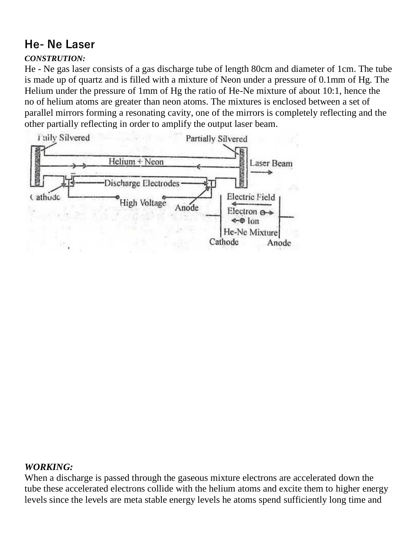# **He- Ne Laser**

## *CONSTRUTION:*

He - Ne gas laser consists of a gas discharge tube of length 80cm and diameter of 1cm. The tube is made up of quartz and is filled with a mixture of Neon under a pressure of 0.1mm of Hg. The Helium under the pressure of 1mm of Hg the ratio of He-Ne mixture of about 10:1, hence the no of helium atoms are greater than neon atoms. The mixtures is enclosed between a set of parallel mirrors forming a resonating cavity, one of the mirrors is completely reflecting and the other partially reflecting in order to amplify the output laser beam.



## *WORKING:*

When a discharge is passed through the gaseous mixture electrons are accelerated down the tube these accelerated electrons collide with the helium atoms and excite them to higher energy levels since the levels are meta stable energy levels he atoms spend sufficiently long time and